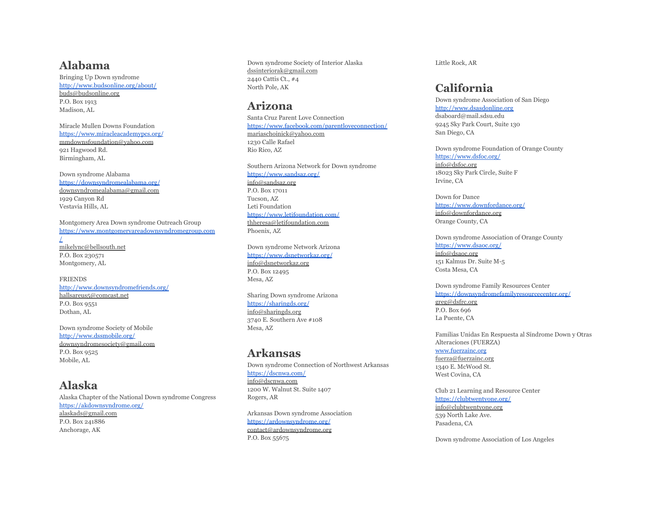### **Alabama**

Bringing Up Down syndrome <http://www.budsonline.org/about/> buds@budsonline.org P.O. Box 1913 Madison, AL

Miracle Mullen Downs Foundation <https://www.miracleacademypcs.org/> mmdownsfoundation@yahoo.com 921 Hagwood Rd. Birmingham, AL

Down syndrome Alabama <https://downsyndromealabama.org/> downsyndromealabama@gmail.com 1929 Canyon Rd Vestavia Hills, AL

Montgomery Area Down syndrome Outreach Group [https://www.montgomeryareadownsyndromegroup.com](https://www.montgomeryareadownsyndromegroup.com/) [/](https://www.montgomeryareadownsyndromegroup.com/) mikelync@bellsouth.net P.O. Box 230571 Montgomery, AL

FRIENDS <http://www.downsyndromefriends.org/> hallsareus5@comcast.net P.O. Box 9551 Dothan, AL

Down syndrome Society of Mobile <http://www.dssmobile.org/> downsyndromesociety@gmail.com P.O. Box 9525 Mobile, AL

### **Alaska**

Alaska Chapter of the National Down syndrome Congress <https://akdownsyndrome.org/> alaskads@gmail.com P.O. Box 241886 Anchorage, AK

Down syndrome Society of Interior Alaska dssinteriorak@gmail.com 2440 Cattis Ct., #4 North Pole, AK

## **Arizona**

Santa Cruz Parent Love Connection <https://www.facebook.com/parentloveconnection/> mariaschoinick@yahoo.com 1230 Calle Rafael Rio Rico, AZ

Southern Arizona Network for Down syndrome <https://www.sandsaz.org/> info@sandsaz.org P.O. Box 17011 Tucson, AZ Leti Foundation <https://www.letifoundation.com/> thheresa@letifoundation.com Phoenix, AZ

Down syndrome Network Arizona <https://www.dsnetworkaz.org/> info@dsnetworkaz.org P.O. Box 12495 Mesa, AZ

Sharing Down syndrome Arizona <https://sharingds.org/> info@sharingds.org 3740 E. Southern Ave #108 Mesa, AZ

### **Arkansas**

Down syndrome Connection of Northwest Arkansas <https://dscnwa.com/> info@dscnwa.com 1200 W. Walnut St. Suite 1407 Rogers, AR

Arkansas Down syndrome Association <https://ardownsyndrome.org/> contact@ardownsyndrome.org P.O. Box 55675

Little Rock, AR

# **California**

Down syndrome Association of San Diego <http://www.dsasdonline.org> dsaboard@mail.sdsu.edu 9245 Sky Park Court, Suite 130 San Diego, CA

Down syndrome Foundation of Orange County <https://www.dsfoc.org/> info@dsfoc.org 18023 Sky Park Circle, Suite F Irvine, CA

Down for Dance <https://www.downfordance.org/> info@downfordance.org Orange County, CA

Down syndrome Association of Orange County <https://www.dsaoc.org/> info@dsaoc.org 151 Kalmus Dr. Suite M-5 Costa Mesa, CA

Down syndrome Family Resources Center <https://downsyndromefamilyresourcecenter.org/> greg@dsfrc.org P.O. Box 696 La Puente, CA

Familias Unidas En Respuesta al Síndrome Down y Otras Alteraciones (FUERZA) [www.fuerzainc.org](http://www.fuerzainc.org)

fuerza@fuerzainc.org 1340 E. McWood St. West Covina, CA

Club 21 Learning and Resource Center <https://clubtwentyone.org/> info@clubtwentyone.org 539 North Lake Ave. Pasadena, CA

Down syndrome Association of Los Angeles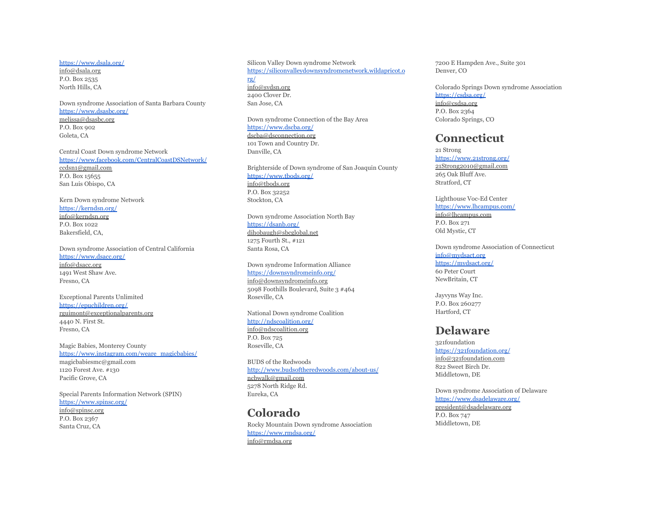#### <https://www.dsala.org/>

info@dsala.org P.O. Box 2535 North Hills, CA

Down syndrome Association of Santa Barbara County <https://www.dsasbc.org/> melissa@dsasbc.org P.O. Box 902 Goleta, CA

Central Coast Down syndrome Network <https://www.facebook.com/CentralCoastDSNetwork/> ccdsn1@gmail.com P.O. Box 15655 San Luis Obispo, CA

Kern Down syndrome Network <https://kerndsn.org/> info@kerndsn.org P.O. Box 1022 Bakersfield, CA,

Down syndrome Association of Central California <https://www.dsacc.org/> info@dsacc.org

1491 West Shaw Ave. Fresno, CA

Exceptional Parents Unlimited <https://epuchildren.org/> rguimont@exceptionalparents.org 4440 N. First St. Fresno, CA

Magic Babies, Monterey County [https://www.instagram.com/weare\\_magicbabies/](https://www.instagram.com/weare_magicbabies/) magicbabiesmc@gmail.com 1120 Forest Ave. #130 Pacific Grove, CA

Special Parents Information Network (SPIN) <https://www.spinsc.org/> info@spinsc.org P.O. Box 2367 Santa Cruz, CA

Silicon Valley Down syndrome Network [https://siliconvalleydownsyndromenetwork.wildapricot.o](https://siliconvalleydownsyndromenetwork.wildapricot.org/) [rg/](https://siliconvalleydownsyndromenetwork.wildapricot.org/) info@svdsn.org 2400 Clover Dr. San Jose, CA

Down syndrome Connection of the Bay Area <https://www.dscba.org/> dscba@dsconnection.org 101 Town and Country Dr. Danville, CA

Brighterside of Down syndrome of San Joaquin County <https://www.tbods.org/> info@tbods.org P.O. Box 32252 Stockton, CA

Down syndrome Association North Bay <https://dsanb.org/> dihobaugh@sbcglobal.net 1275 Fourth St., #121 Santa Rosa, CA

Down syndrome Information Alliance <https://downsyndromeinfo.org/> info@downsyndromeinfo.org 5098 Foothills Boulevard, Suite 3 #464 Roseville, CA

National Down syndrome Coalition <http://ndscoalition.org/> info@ndscoalition.org P.O. Box 725 Roseville, CA

BUDS of the Redwoods <http://www.budsoftheredwoods.com/about-us/> ncbwalk@gmail.com 5278 North Ridge Rd. Eureka, CA

## **Colorado** Rocky Mountain Down syndrome Association

<https://www.rmdsa.org/> info@rmdsa.org

7200 E Hampden Ave., Suite 301 Denver, CO

Colorado Springs Down syndrome Association <https://csdsa.org/> info@csdsa.org P.O. Box 2364 Colorado Springs, CO

## **Connecticut**

21 Strong <https://www.21strong.org/> 21Strong2010@gmail.com 265 Oak Bluff Ave. Stratford, CT

Lighthouse Voc-Ed Center <https://www.lhcampus.com/> info@lhcampus.com

P.O. Box 271 Old Mystic, CT

Down syndrome Association of Connecticut [info@mydsact.org](mailto:info@mydsact.org) <https://mydsact.org/> 60 Peter Court NewBritain, CT

Jayvyns Way Inc. P.O. Box 260277 Hartford, CT

#### **Delaware**

321foundation <https://321foundation.org/> info@321foundation.com 822 Sweet Birch Dr. Middletown, DE

Down syndrome Association of Delaware <https://www.dsadelaware.org/> president@dsadelaware.org P.O. Box 747 Middletown, DE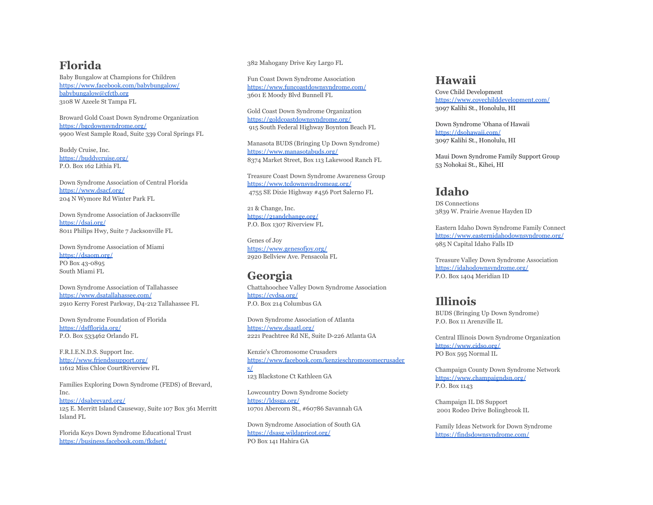## **Florida**

Baby Bungalow at Champions for Children <https://www.facebook.com/babybungalow/> [babybungalow@cfctb.org](mailto:babybungalow@cfctb.org) 3108 W Azeele St Tampa FL

Broward Gold Coast Down Syndrome Organization <https://bgcdownsyndrome.org/> 9900 West Sample Road, Suite 339 Coral Springs FL

Buddy Cruise, Inc. <https://buddycruise.org/> P.O. Box 162 Lithia FL

Down Syndrome Association of Central Florida <https://www.dsacf.org/> 204 N Wymore Rd Winter Park FL

Down Syndrome Association of Jacksonville <https://dsaj.org/> 8011 Philips Hwy, Suite 7 Jacksonville FL

Down Syndrome Association of Miami <https://dsaom.org/> PO Box 43-0895 South Miami FL

Down Syndrome Association of Tallahassee <https://www.dsatallahassee.com/> 2910 Kerry Forest Parkway, D4-212 Tallahassee FL

Down Syndrome Foundation of Florida <https://dsfflorida.org/> P.O. Box 533462 Orlando FL

F.R.I.E.N.D.S. Support Inc. <http://www.friendssupport.org/> 11612 Miss Chloe CourtRiverview FL

Families Exploring Down Syndrome (FEDS) of Brevard, Inc. <https://dsabrevard.org/> 125 E. Merritt Island Causeway, Suite 107 Box 361 Merritt Island FL

Florida Keys Down Syndrome Educational Trust <https://business.facebook.com/fkdset/>

382 Mahogany Drive Key Largo FL

Fun Coast Down Syndrome Association <https://www.funcoastdownsyndrome.com/> 3601 E Moody Blvd Bunnell FL

Gold Coast Down Syndrome Organization <https://goldcoastdownsyndrome.org/> 915 South Federal Highway Boynton Beach FL

Manasota BUDS (Bringing Up Down Syndrome) <https://www.manasotabuds.org/> 8374 Market Street, Box 113 Lakewood Ranch FL

Treasure Coast Down Syndrome Awareness Group <https://www.tcdownsyndromeag.org/> 4755 SE Dixie Highway #456 Port Salerno FL

21 & Change, Inc. <https://21andchange.org/> P.O. Box 1307 Riverview FL

Genes of Joy <https://www.genesofjoy.org/> 2920 Bellview Ave. Pensacola FL

### **Georgia**

Chattahoochee Valley Down Syndrome Association <https://cvdsa.org/> P.O. Box 214 Columbus GA

Down Syndrome Association of Atlanta <https://www.dsaatl.org/> 2221 Peachtree Rd NE, Suite D-226 Atlanta GA

Kenzie's Chromosome Crusaders [https://www.facebook.com/kenzieschromosomecrusader](https://www.facebook.com/kenzieschromosomecrusaders/) [s/](https://www.facebook.com/kenzieschromosomecrusaders/) 123 Blackstone Ct Kathleen GA

Lowcountry Down Syndrome Society <https://ldssga.org/> 10701 Abercorn St., #60786 Savannah GA

Down Syndrome Association of South GA <https://dsasg.wildapricot.org/> PO Box 141 Hahira GA

#### **Hawaii**

Cove Child Development <https://www.covechilddevelopment.com/> 3097 Kalihi St., Honolulu, HI

Down Syndrome 'Ohana of Hawaii <https://dsohawaii.com/> 3097 Kalihi St., Honolulu, HI

Maui Down Syndrome Family Support Group 53 Nohokai St., Kihei, HI

## **Idaho**

DS Connections 3839 W. Prairie Avenue Hayden ID

Eastern Idaho Down Syndrome Family Connect <https://www.easternidahodownsyndrome.org/> 985 N Capital Idaho Falls ID

Treasure Valley Down Syndrome Association <https://idahodownsyndrome.org/> P.O. Box 1404 Meridian ID

## **Illinois**

BUDS (Bringing Up Down Syndrome) P.O. Box 11 Arenzville IL

Central Illinois Down Syndrome Organization <https://www.cidso.org/> PO Box 595 Normal IL

Champaign County Down Syndrome Network <https://www.champaigndsn.org/> P.O. Box 1143

Champaign IL DS Support 2001 Rodeo Drive Bolingbrook IL

Family Ideas Network for Down Syndrome <https://findsdownsyndrome.com/>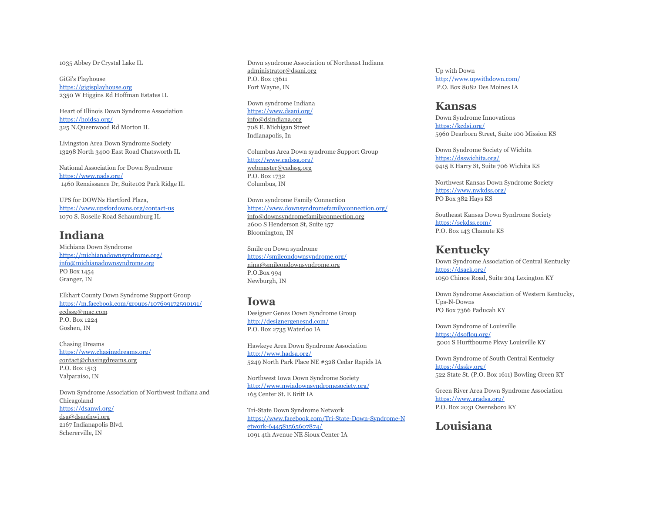1035 Abbey Dr Crystal Lake IL

GiGi's Playhouse <https://gigisplayhouse.org> 2350 W Higgins Rd Hoffman Estates IL

Heart of Illinois Down Syndrome Association <https://hoidsa.org/> 325 N.Queenwood Rd Morton IL

Livingston Area Down Syndrome Society 13298 North 3400 East Road Chatsworth IL

National Association for Down Syndrome <https://www.nads.org/> 1460 Renaissance Dr, Suite102 Park Ridge IL

UPS for DOWNs Hartford Plaza, <https://www.upsfordowns.org/contact-us> 1070 S. Roselle Road Schaumburg IL

## **Indiana**

Michiana Down Syndrome <https://michianadownsyndrome.org/> [info@michianadownsyndrome.org](mailto:info@michianadownsyndrome.org) PO Box 1454 Granger, IN

Elkhart County Down Syndrome Support Group <https://m.facebook.com/groups/107699172590191/> ecdssg@mac.com P.O. Box 1224 Goshen, IN

Chasing Dreams <https://www.chasingdreams.org/> contact@chasingdreams.org P.O. Box 1513 Valparaiso, IN

Down Syndrome Association of Northwest Indiana and Chicagoland <https://dsanwi.org/> dsa@dsaofnwi.org 2167 Indianapolis Blvd. Schererville, IN

Down syndrome Association of Northeast Indiana administrator@dsani.org P.O. Box 13611 Fort Wayne, IN

Down syndrome Indiana <https://www.dsani.org/> info@dsindiana.org 708 E. Michigan Street Indianapolis, In

Columbus Area Down syndrome Support Group <http://www.cadssg.org/> webmaster@cadssg.org P.O. Box 1732 Columbus, IN

Down syndrome Family Connection <https://www.downsyndromefamilyconnection.org/> info@downsyndromefamilyconnection.org 2600 S Henderson St, Suite 157 Bloomington, IN

Smile on Down syndrome <https://smileondownsyndrome.org/> nina@smileondownsyndrome.org P.O.Box 994 Newburgh, IN

#### **Iowa**

Designer Genes Down Syndrome Group <http://designergenesnd.com/> P.O. Box 2735 Waterloo IA

Hawkeye Area Down Syndrome Association <http://www.hadsa.org/> 5249 North Park Place NE #328 Cedar Rapids IA

Northwest Iowa Down Syndrome Society <http://www.nwiadownsyndromesociety.org/> 165 Center St. E Britt IA

Tri-State Down Syndrome Network [https://www.facebook.com/Tri-State-Down-Syndrome-N](https://www.facebook.com/Tri-State-Down-Syndrome-Network-644581565607874/) [etwork-644581565607874/](https://www.facebook.com/Tri-State-Down-Syndrome-Network-644581565607874/) 1091 4th Avenue NE Sioux Center IA

Up with Down <http://www.upwithdown.com/> P.O. Box 8082 Des Moines IA

#### **Kansas**

Down Syndrome Innovations <https://kcdsi.org/> 5960 Dearborn Street, Suite 100 Mission KS

Down Syndrome Society of Wichita <https://dsswichita.org/> 9415 E Harry St, Suite 706 Wichita KS

Northwest Kansas Down Syndrome Society <https://www.nwkdss.org/> PO Box 382 Hays KS

Southeast Kansas Down Syndrome Society <https://sekdss.com/> P.O. Box 143 Chanute KS

#### **Kentucky**

Down Syndrome Association of Central Kentucky <https://dsack.org/> 1050 Chinoe Road, Suite 204 Lexington KY

Down Syndrome Association of Western Kentucky, Ups-N-Downs PO Box 7366 Paducah KY

Down Syndrome of Louisville <https://dsoflou.org/> 5001 S Hurftbourne Pkwy Louisville KY

Down Syndrome of South Central Kentucky <https://dssky.org/> 522 State St. (P.O. Box 1611) Bowling Green KY

Green River Area Down Syndrome Association <https://www.gradsa.org/> P.O. Box 2031 Owensboro KY

## **Louisiana**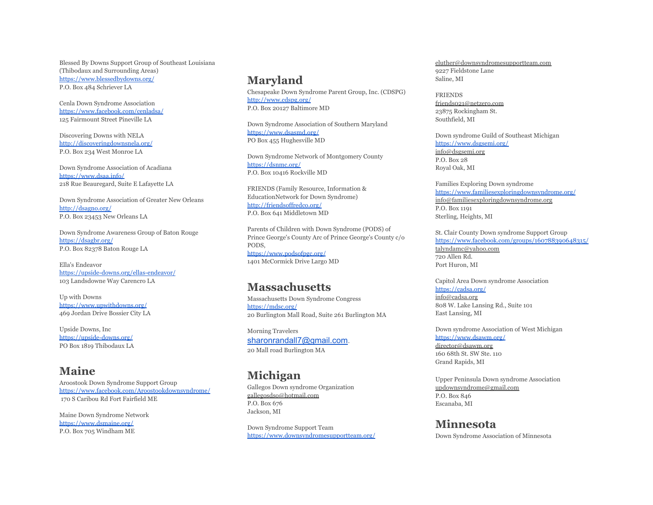Blessed By Downs Support Group of Southeast Louisiana (Thibodaux and Surrounding Areas) <https://www.blessedbydowns.org/> P.O. Box 484 Schriever LA

Cenla Down Syndrome Association <https://www.facebook.com/cenladsa/> 125 Fairmount Street Pineville LA

Discovering Downs with NELA <http://discoveringdownsnela.org/> P.O. Box 234 West Monroe LA

Down Syndrome Association of Acadiana <https://www.dsaa.info/> 218 Rue Beauregard, Suite E Lafayette LA

Down Syndrome Association of Greater New Orleans <http://dsagno.org/> P.O. Box 23453 New Orleans LA

Down Syndrome Awareness Group of Baton Rouge <https://dsagbr.org/> P.O. Box 82378 Baton Rouge LA

Ella's Endeavor <https://upside-downs.org/ellas-endeavor/> 103 Landsdowne Way Carencro LA

Up with Downs <https://www.upwithdowns.org/> 469 Jordan Drive Bossier City LA

Upside Downs, Inc <https://upside-downs.org/> PO Box 1819 Thibodaux LA

#### **Maine**

Aroostook Down Syndrome Support Group <https://www.facebook.com/Aroostookdownsyndrome/> 170 S Caribou Rd Fort Fairfield ME

Maine Down Syndrome Network <https://www.dsmaine.org/> P.O. Box 705 Windham ME

## **Maryland**

Chesapeake Down Syndrome Parent Group, Inc. (CDSPG) <http://www.cdspg.org/> P.O. Box 20127 Baltimore MD

Down Syndrome Association of Southern Maryland <https://www.dsasmd.org/> PO Box 455 Hughesville MD

Down Syndrome Network of Montgomery County <https://dsnmc.org/> P.O. Box 10416 Rockville MD

FRIENDS (Family Resource, Information & EducationNetwork for Down Syndrome) <http://friendsoffredco.org/> P.O. Box 641 Middletown MD

Parents of Children with Down Syndrome (PODS) of Prince George's County Arc of Prince George's County c/o PODS, <https://www.podsofpgc.org/> 1401 McCormick Drive Largo MD

## **Massachusetts**

Massachusetts Down Syndrome Congress <https://mdsc.org/> 20 Burlington Mall Road, Suite 261 Burlington MA

Morning Travelers [sharonrandall7@gmail.com.](mailto:sharonrandall7@gmail.com) 20 Mall road Burlington MA

## **Michigan**

Gallegos Down syndrome Organization gallegosdso@hotmail.com P.O. Box 676 Jackson, MI

Down Syndrome Support Team <https://www.downsyndromesupportteam.org/>

eluther@downsyndromesupportteam.com 9227 Fieldstone Lane Saline, MI

FRIENDS friends021@netzero.com 23875 Rockingham St. Southfield, MI

Down syndrome Guild of Southeast Michigan <https://www.dsgsemi.org/> info@dsgsemi.org

P.O. Box 28 Royal Oak, MI

Families Exploring Down syndrome <https://www.familiesexploringdownsyndrome.org/> info@familiesexploringdownsyndrome.org P.O. Box 1191 Sterling, Heights, MI

St. Clair County Down syndrome Support Group <https://www.facebook.com/groups/160788390648315/> talyndamc@yahoo.com 720 Allen Rd. Port Huron, MI

Capitol Area Down syndrome Association [https://cadsa.org/](https://cadsa.org/who-we-are/about-cadsa.html#:~:text=The%20Capital%20Area%20Down%20Syndrome,education%2C%20advocacy%2C%20and%20awareness) info@cadsa.org 808 W. Lake Lansing Rd., Suite 101 East Lansing, MI

Down syndrome Association of West Michigan <https://www.dsawm.org/>

director@dsawm.org 160 68th St. SW Ste. 110 Grand Rapids, MI

Upper Peninsula Down syndrome Association updownsyndrome@gmail.com P.O. Box 846 Escanaba, MI

**Minnesota** Down Syndrome Association of Minnesota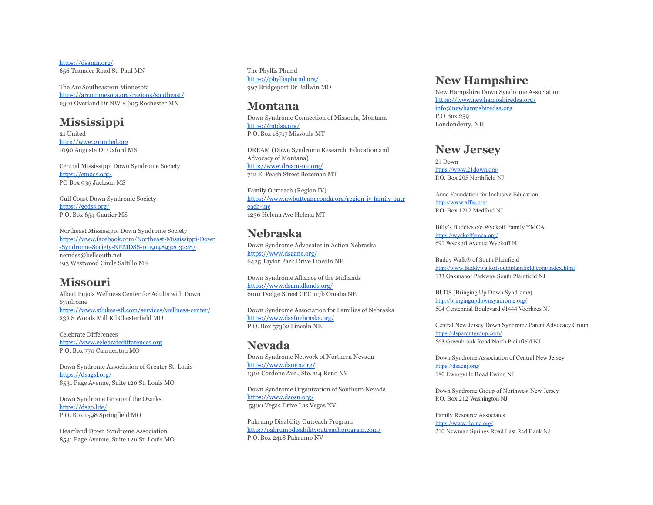<https://dsamn.org/> 656 Transfer Road St. Paul MN

The Arc Southeastern Minnesota <https://arcminnesota.org/regions/southeast/> 6301 Overland Dr NW # 605 Rochester MN

## **Mississippi**

21 United <http://www.21united.org> 1090 Augusta Dr Oxford MS

Central Mississippi Down Syndrome Society <https://cmdss.org/> PO Box 935 Jackson MS

Gulf Coast Down Syndrome Society <https://gcdss.org/> P.O. Box 654 Gautier MS

Northeast Mississippi Down Syndrome Society [https://www.facebook.com/Northeast-Mississippi-Down](https://www.facebook.com/Northeast-Mississippi-Down-Syndrome-Society-NEMDSS-101914893203228/) [-Syndrome-Society-NEMDSS-101914893203228/](https://www.facebook.com/Northeast-Mississippi-Down-Syndrome-Society-NEMDSS-101914893203228/) nemdss@bellsouth.net 193 Westwood Circle Saltillo MS

### **Missouri**

Albert Pujols Wellness Center for Adults with Down Syndrome <https://www.stlukes-stl.com/services/wellness-center/> 232 S Woods Mill Rd Chesterfield MO

Celebrate Differences <https://www.celebratedifferences.org> P.O. Box 770 Camdenton MO

Down Syndrome Association of Greater St. Louis <https://dsagsl.org/> 8531 Page Avenue, Suite 120 St. Louis MO

Down Syndrome Group of the Ozarks <https://dsgo.life/> P.O. Box 1598 Springfield MO

Heartland Down Syndrome Association 8531 Page Avenue, Suite 120 St. Louis MO The Phyllis Phund <https://phyllisphund.org/> 997 Bridgeport Dr Ballwin MO

#### **Montana**

Down Syndrome Connection of Missoula, Montana <https://mtdsa.org/> P.O. Box 16717 Missoula MT

DREAM (Down Syndrome Research, Education and Advocacy of Montana) <http://www.dream-mt.org/> 712 E. Peach Street Bozeman MT

Family Outreach (Region IV) [https://www.uwbutteanaconda.org/region-iv-family-outr](https://www.uwbutteanaconda.org/region-iv-family-outreach-inc) [each-inc](https://www.uwbutteanaconda.org/region-iv-family-outreach-inc) 1236 Helena Ave Helena MT

## **Nebraska**

Down Syndrome Advocates in Action Nebraska <https://www.dsaane.org/> 6425 Taylor Park Drive Lincoln NE

Down Syndrome Alliance of the Midlands <https://www.dsamidlands.org/> 6001 Dodge Street CEC 117b Omaha NE

Down Syndrome Association for Families of Nebraska <https://www.dsafnebraska.org/> P.O. Box 57362 Lincoln NE

#### **Nevada**

Down Syndrome Network of Northern Nevada <https://www.dsnnn.org/> 1301 Cordone Ave., Ste. 114 Reno NV

Down Syndrome Organization of Southern Nevada <https://www.dsosn.org/> 5300 Vegas Drive Las Vegas NV

Pahrump Disability Outreach Program <http://pahrumpdisabilityoutreachprogram.com/> P.O. Box 2418 Pahrump NV

## **New Hampshire**

New Hampshire Down Syndrome Association <https://www.newhampshiredsa.org/> [info@newhampshiredsa.org](mailto:info@newhampshiredsa.org) P.O Box 259 Londonderry, NH

#### **New Jersey**

21 Down <https://www.21down.org/> P.O. Box 205 Northfield NJ

Anna Foundation for Inclusive Education <http://www.affie.org/> P.O. Box 1212 Medford NJ

Billy's Buddies c/o Wyckoff Family YMCA <https://wyckoffymca.org/> 691 Wyckoff Avenue Wyckoff NJ

Buddy Walk® of South Plainfield <http://www.buddywalkofsouthplainfield.com/index.html> 133 Oakmanor Parkway South Plainfield NJ

BUDS (Bringing Up Down Syndrome) <http://bringingupdownsyndrome.org/> 504 Centennial Boulevard #1444 Voorhees NJ

Central New Jersey Down Syndrome Parent Advocacy Group <https://dsparentgroup.com/> 563 Greenbrook Road North Plainfield NJ

Down Syndrome Association of Central New Jersey https://dsacni.org/ 180 Ewingville Road Ewing NJ

Down Syndrome Group of Northwest New Jersey P.O. Box 212 Washington NJ

Family Resource Associates <https://www.frainc.org/> 210 Newman Springs Road East Red Bank NJ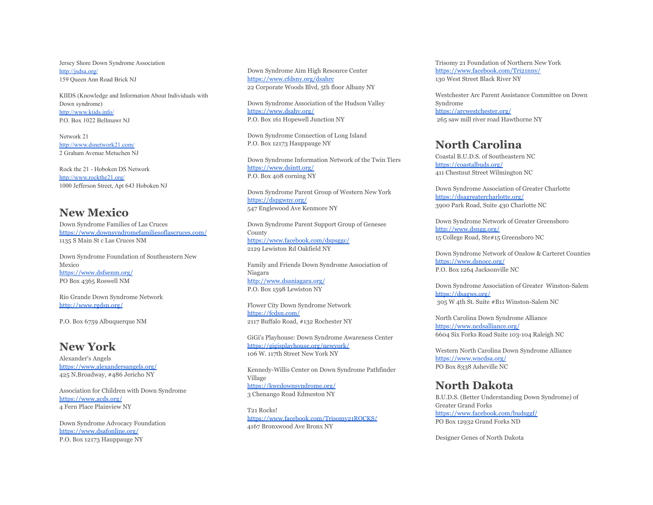Jersey Shore Down Syndrome Association <http://jsdsa.org/> 159 Queen Ann Road Brick NJ

KIIDS (Knowledge and Information About Individuals with Down syndrome) <http://www.kiids.info/> P.O. Box 1022 Bellmawr NJ

Network 21 <http://www.dsnetwork21.com/> 2 Graham Avenue Metuchen NJ

Rock the 21 - Hoboken DS Network <http://www.rockthe21.org/> 1000 Jefferson Street, Apt 643 Hoboken NJ

## **New Mexico**

Down Syndrome Families of Las Cruces <https://www.downsyndromefamiliesoflascruces.com/> 1135 S Main St c Las Cruces NM

Down Syndrome Foundation of Southeastern New Mexico <https://www.dsfsenm.org/> PO Box 4365 Roswell NM

Rio Grande Down Syndrome Network <http://www.rgdsn.org/>

P.O. Box 6759 Albuquerque NM

## **New York**

Alexander's Angels <https://www.alexandersangels.org/> 425 N.Broadway, #486 Jericho NY

Association for Children with Down Syndrome <https://www.acds.org/> 4 Fern Place Plainview NY

Down Syndrome Advocacy Foundation <https://www.dsafonline.org/> P.O. Box 12173 Hauppauge NY

Down Syndrome Aim High Resource Center <https://www.cfdsny.org/dsahrc> 22 Corporate Woods Blvd, 5th floor Albany NY

Down Syndrome Association of the Hudson Valley <https://www.dsahv.org/> P.O. Box 161 Hopewell Junction NY

Down Syndrome Connection of Long Island P.O. Box 12173 Hauppauge NY

Down Syndrome Information Network of the Twin Tiers <https://www.dsintt.org/> P.O. Box 408 corning NY

Down Syndrome Parent Group of Western New York <https://dspgwny.org/> 547 Englewood Ave Kenmore NY

Down Syndrome Parent Support Group of Genesee County <https://www.facebook.com/dspsggc/> 2129 Lewiston Rd Oakfield NY

Family and Friends Down Syndrome Association of Niagara <http://www.dsaniagara.org/> P.O. Box 1598 Lewiston NY

Flower City Down Syndrome Network <https://fcdsn.com/> 2117 Buffalo Road, #132 Rochester NY

GiGi's Playhouse: Down Syndrome Awareness Center <https://gigisplayhouse.org/newyork/> 106 W. 117th Street New York NY

Kennedy-Willis Center on Down Syndrome Pathfinder Village <https://kwcdownsyndrome.org/> 3 Chenango Road Edmeston NY

T21 Rocks! <https://www.facebook.com/Trisomy21ROCKS/> 4167 Bronxwood Ave Bronx NY

Trisomy 21 Foundation of Northern New York <https://www.facebook.com/Tri21nny/> 130 West Street Black River NY

Westchester Arc Parent Assistance Committee on Down Syndrome <https://arcwestchester.org/> 265 saw mill river road Hawthorne NY

## **North Carolina**

Coastal B.U.D.S. of Southeastern NC <https://coastalbuds.org/> 411 Chestnut Street Wilmington NC

Down Syndrome Association of Greater Charlotte <https://dsagreatercharlotte.org/> 3900 Park Road, Suite 430 Charlotte NC

Down Syndrome Network of Greater Greensboro <http://www.dsngg.org/> 15 College Road, Ste#15 Greensboro NC

Down Syndrome Network of Onslow & Carteret Counties <https://www.dsnocc.org/> P.O. Box 1264 Jacksonville NC

Down Syndrome Association of Greater Winston-Salem <https://dsagws.org/> 305 W 4th St. Suite #B11 Winston-Salem NC

North Carolina Down Syndrome Alliance <https://www.ncdsalliance.org/> 6604 Six Forks Road Suite 103-104 Raleigh NC

Western North Carolina Down Syndrome Alliance <https://www.wncdsa.org/> PO Box 8338 Asheville NC

### **North Dakota**

B.U.D.S. (Better Understanding Down Syndrome) of Greater Grand Forks <https://www.facebook.com/budsggf/> PO Box 12932 Grand Forks ND

Designer Genes of North Dakota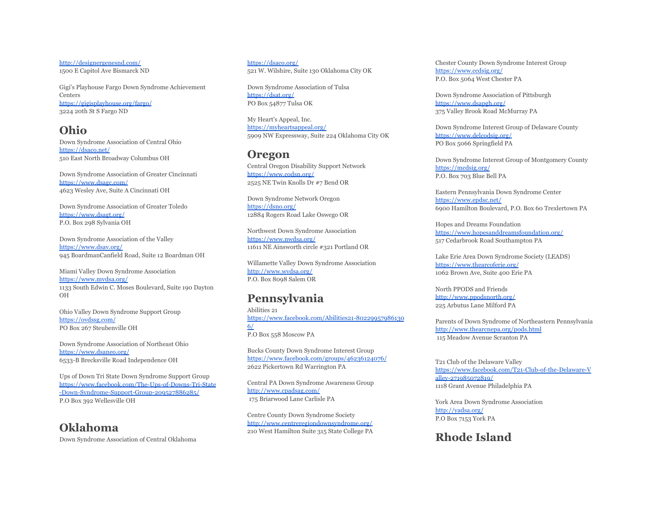<http://designergenesnd.com/> 1500 E Capitol Ave Bismarck ND

Gigi's Playhouse Fargo Down Syndrome Achievement **Centers** <https://gigisplayhouse.org/fargo/> 3224 20th St S Fargo ND

#### **Ohio**

Down Syndrome Association of Central Ohio <https://dsaco.net/> 510 East North Broadway Columbus OH

Down Syndrome Association of Greater Cincinnati <https://www.dsagc.com/> 4623 Wesley Ave, Suite A Cincinnati OH

Down Syndrome Association of Greater Toledo <https://www.dsagt.org/> P.O. Box 298 Sylvania OH

Down Syndrome Association of the Valley <https://www.dsav.org/> 945 BoardmanCanfield Road, Suite 12 Boardman OH

Miami Valley Down Syndrome Association <https://www.mvdsa.org/> 1133 South Edwin C. Moses Boulevard, Suite 190 Dayton OH

Ohio Valley Down Syndrome Support Group <https://ovdssg.com/> PO Box 267 Steubenville OH

Down Syndrome Association of Northeast Ohio <https://www.dsaneo.org/> 6533-B Brecksville Road Independence OH

Ups of Down Tri State Down Syndrome Support Group [https://www.facebook.com/The-Ups-of-Downs-Tri-State](https://www.facebook.com/The-Ups-of-Downs-Tri-State-Down-Syndrome-Support-Group-209527886285/) [-Down-Syndrome-Support-Group-209527886285/](https://www.facebook.com/The-Ups-of-Downs-Tri-State-Down-Syndrome-Support-Group-209527886285/) P.O Box 392 Wellesville OH

## **Oklahoma**

Down Syndrome Association of Central Oklahoma

<https://dsaco.org/> 521 W. Wilshire, Suite 130 Oklahoma City OK

Down Syndrome Association of Tulsa <https://dsat.org/> PO Box 54877 Tulsa OK

My Heart's Appeal, Inc. <https://myheartsappeal.org/> 5909 NW Expressway, Suite 224 Oklahoma City OK

#### **Oregon**

Central Oregon Disability Support Network <https://www.codsn.org/> 2525 NE Twin Knolls Dr #7 Bend OR

Down Syndrome Network Oregon <https://dsno.org/> 12884 Rogers Road Lake Oswego OR

Northwest Down Syndrome Association <https://www.nwdsa.org/> 11611 NE Ainsworth circle #321 Portland OR

Willamette Valley Down Syndrome Association <http://www.wvdsa.org/> P.O. Box 8098 Salem OR

## **Pennsylvania**

Abilities 21 [https://www.facebook.com/Abilities21-80229957986130](https://www.facebook.com/Abilities21-802299579861306/) [6/](https://www.facebook.com/Abilities21-802299579861306/) P.O Box 558 Moscow PA

Bucks County Down Syndrome Interest Group <https://www.facebook.com/groups/46236124076/> 2622 Pickertown Rd Warrington PA

Central PA Down Syndrome Awareness Group <http://www.cpadsag.com/> 175 Briarwood Lane Carlisle PA

Centre County Down Syndrome Society <http://www.centreregiondownsyndrome.org/> 210 West Hamilton Suite 315 State College PA Chester County Down Syndrome Interest Group <https://www.ccdsig.org/> P.O. Box 5064 West Chester PA

Down Syndrome Association of Pittsburgh <https://www.dsapgh.org/> 375 Valley Brook Road McMurray PA

Down Syndrome Interest Group of Delaware County <https://www.delcodsig.org/> PO Box 5066 Springfield PA

Down Syndrome Interest Group of Montgomery County <https://mcdsig.org/> P.O. Box 703 Blue Bell PA

Eastern Pennsylvania Down Syndrome Center <https://www.epdsc.net/> 6900 Hamilton Boulevard, P.O. Box 60 Trexlertown PA

Hopes and Dreams Foundation <https://www.hopesanddreamsfoundation.org/> 517 Cedarbrook Road Southampton PA

Lake Erie Area Down Syndrome Society (LEADS) <https://www.thearcoferie.org/> 1062 Brown Ave, Suite 400 Erie PA

North PPODS and Friends <http://www.ppodsnorth.org/> 225 Arbutus Lane Milford PA

Parents of Down Syndrome of Northeastern Pennsylvania <http://www.thearcnepa.org/pods.html> 115 Meadow Avenue Scranton PA

T21 Club of the Delaware Valley [https://www.facebook.com/T21-Club-of-the-Delaware-V](https://www.facebook.com/T21-Club-of-the-Delaware-Valley-271985072819/) [alley-271985072819/](https://www.facebook.com/T21-Club-of-the-Delaware-Valley-271985072819/) 1118 Grant Avenue Philadelphia PA

York Area Down Syndrome Association <http://yadsa.org/> P.O Box 7153 York PA

## **Rhode Island**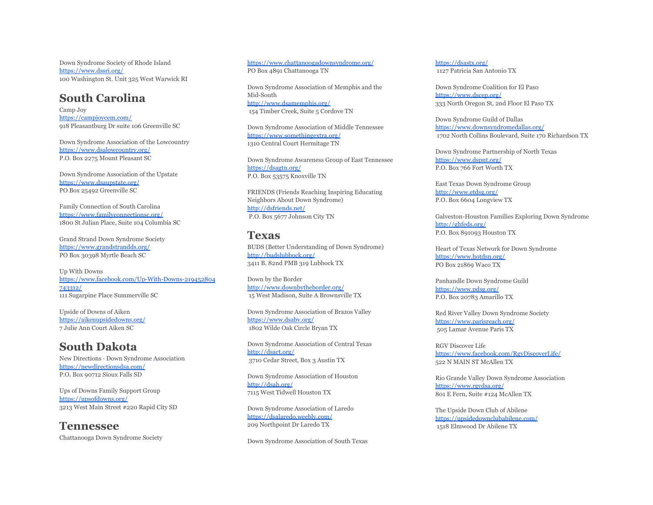Down Syndrome Society of Rhode Island <https://www.dssri.org/> 100 Washington St. Unit 325 West Warwick RI

## **South Carolina**

Camp Joy <https://campjoycem.com/> 918 Pleasantburg Dr suite 106 Greenville SC

Down Syndrome Association of the Lowcountry <https://www.dsalowcountry.org/> P.O. Box 2275 Mount Pleasant SC

Down Syndrome Association of the Upstate <https://www.dsaupstate.org/> PO Box 25492 Greenville SC

Family Connection of South Carolina <https://www.familyconnectionsc.org/> 1800 St Julian Place, Suite 104 Columbia SC

Grand Strand Down Syndrome Society <https://www.grandstrandds.org/> PO Box 30398 Myrtle Beach SC

Up With Downs [https://www.facebook.com/Up-With-Downs-219452804](https://www.facebook.com/Up-With-Downs-219452804743312/) [743312/](https://www.facebook.com/Up-With-Downs-219452804743312/) 111 Sugarpine Place Summerville SC

Upside of Downs of Aiken <https://aikenupsidedowns.org/> 7 Julie Ann Court Aiken SC

## **South Dakota**

New Directions ∙ Down Syndrome Association <https://newdirectionsdsa.com/> P.O. Box 90712 Sioux Falls SD

Ups of Downs Family Support Group <https://upsofdowns.org/> 3213 West Main Street #220 Rapid City SD

**Tennessee** Chattanooga Down Syndrome Society

<https://www.chattanoogadownsyndrome.org/> PO Box 4891 Chattanooga TN

Down Syndrome Association of Memphis and the Mid-South <http://www.dsamemphis.org/> 154 Timber Creek, Suite 5 Cordove TN

Down Syndrome Association of Middle Tennessee <https://www.somethingextra.org/> 1310 Central Court Hermitage TN

Down Syndrome Awareness Group of East Tennessee <https://dsagtn.org/> P.O. Box 53575 Knoxville TN

FRIENDS (Friends Reaching Inspiring Educating Neighbors About Down Syndrome) <http://dsfriends.net/> P.O. Box 5677 Johnson City TN

#### **Texas**

BUDS (Better Understanding of Down Syndrome) <http://budslubbock.org/> 3411 B. 82nd PMB 319 Lubbock TX

Down by the Border <http://www.downbytheborder.org/> 15 West Madison, Suite A Brownsville TX

Down Syndrome Association of Brazos Valley <https://www.dsabv.org/> 1802 Wilde Oak Circle Bryan TX

Down Syndrome Association of Central Texas <http://dsact.org/> 3710 Cedar Street, Box 3 Austin TX

Down Syndrome Association of Houston <http://dsah.org/> 7115 West Tidwell Houston TX

Down Syndrome Association of Laredo <https://dsalaredo.weebly.com/> 209 Northpoint Dr Laredo TX

Down Syndrome Association of South Texas

<https://dsastx.org/> 1127 Patricia San Antonio TX

Down Syndrome Coalition for El Paso <https://www.dscep.org/> 333 North Oregon St, 2nd Floor El Paso TX

Down Syndrome Guild of Dallas <https://www.downsyndromedallas.org/> 1702 North Collins Boulevard, Suite 170 Richardson TX

Down Syndrome Partnership of North Texas <https://www.dspnt.org/> P.O. Box 766 Fort Worth TX

East Texas Down Syndrome Group <http://www.etdsg.org/> P.O. Box 6604 Longview TX

Galveston-Houston Families Exploring Down Syndrome <http://ghfeds.org/> P.O. Box 891093 Houston TX

Heart of Texas Network for Down Syndrome <https://www.hotdsn.org/> PO Box 21869 Waco TX

Panhandle Down Syndrome Guild <https://www.pdsg.org/> P.O. Box 20783 Amarillo TX

Red River Valley Down Syndrome Society <https://www.parisreach.org/> 505 Lamar Avenue Paris TX

RGV Discover Life <https://www.facebook.com/RgvDiscoverLife/> 522 N MAIN ST McAllen TX

Rio Grande Valley Down Syndrome Association <https://www.rgvdsa.org/> 801 E Fern, Suite #124 McAllen TX

The Upside Down Club of Abilene <https://upsidedownclubabilene.com/> 1518 Elmwood Dr Abilene TX